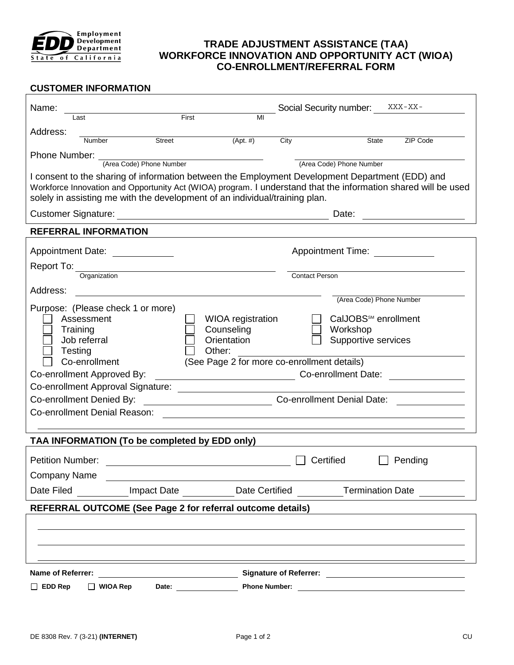

# **TRADE ADJUSTMENT ASSISTANCE (TAA) WORKFORCE INNOVATION AND OPPORTUNITY ACT (WIOA) CO-ENROLLMENT/REFERRAL FORM**

## **CUSTOMER INFORMATION**